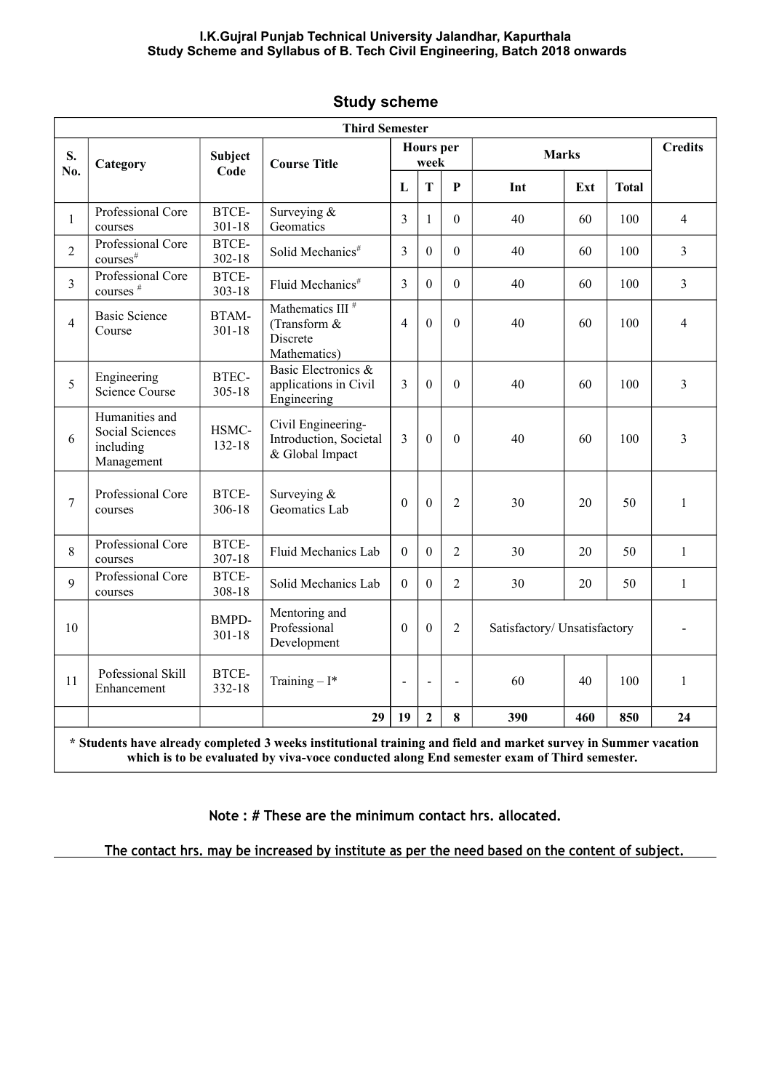## **I.K.Gujral Punjab Technical University Jalandhar, Kapurthala Study Scheme and Syllabus of B. Tech Civil Engineering, Batch 2018 onwards**

|                |                                                              |                     | <b>Third Semester</b>                                                                                                                                                                                         |                          |                  |                |                              |     |              |                |
|----------------|--------------------------------------------------------------|---------------------|---------------------------------------------------------------------------------------------------------------------------------------------------------------------------------------------------------------|--------------------------|------------------|----------------|------------------------------|-----|--------------|----------------|
| S.<br>No.      | Category                                                     | Subject             | <b>Course Title</b>                                                                                                                                                                                           | <b>Hours</b> per<br>week |                  |                | <b>Marks</b>                 |     |              | <b>Credits</b> |
|                |                                                              | Code                |                                                                                                                                                                                                               | L                        | T                | P              | Int                          | Ext | <b>Total</b> |                |
| $\mathbf{1}$   | Professional Core<br>courses                                 | BTCE-<br>$301 - 18$ | Surveying $&$<br>Geomatics                                                                                                                                                                                    | 3                        | $\mathbf{1}$     | $\theta$       | 40                           | 60  | 100          | $\overline{4}$ |
| $\overline{2}$ | Professional Core<br>courses <sup>#</sup>                    | BTCE-<br>$302 - 18$ | Solid Mechanics <sup>#</sup>                                                                                                                                                                                  | 3                        | $\mathbf{0}$     | $\mathbf{0}$   | 40                           | 60  | 100          | 3              |
| 3              | Professional Core<br>courses <sup>#</sup>                    | BTCE-<br>$303 - 18$ | Fluid Mechanics <sup>#</sup>                                                                                                                                                                                  | 3                        | $\theta$         | $\theta$       | 40                           | 60  | 100          | $\overline{3}$ |
| $\overline{4}$ | <b>Basic Science</b><br>Course                               | BTAM-<br>$301 - 18$ | Mathematics III <sup>#</sup><br>(Transform $&$<br>Discrete<br>Mathematics)                                                                                                                                    | $\overline{4}$           | $\mathbf{0}$     | $\overline{0}$ | 40                           | 60  | 100          | $\overline{4}$ |
| 5              | Engineering<br><b>Science Course</b>                         | BTEC-<br>$305 - 18$ | Basic Electronics &<br>applications in Civil<br>Engineering                                                                                                                                                   | 3                        | $\theta$         | $\theta$       | 40                           | 60  | 100          | $\overline{3}$ |
| 6              | Humanities and<br>Social Sciences<br>including<br>Management | HSMC-<br>132-18     | Civil Engineering-<br>Introduction, Societal<br>& Global Impact                                                                                                                                               | 3                        | $\mathbf{0}$     | $\theta$       | 40                           | 60  | 100          | 3              |
| $\overline{7}$ | Professional Core<br>courses                                 | BTCE-<br>306-18     | Surveying $&$<br>Geomatics Lab                                                                                                                                                                                | $\theta$                 | $\mathbf{0}$     | $\overline{2}$ | 30                           | 20  | 50           | $\mathbf{1}$   |
| 8              | Professional Core<br>courses                                 | BTCE-<br>307-18     | Fluid Mechanics Lab                                                                                                                                                                                           | $\theta$                 | $\overline{0}$   | $\overline{2}$ | 30                           | 20  | 50           | $\mathbf{1}$   |
| 9              | Professional Core<br>courses                                 | BTCE-<br>308-18     | Solid Mechanics Lab                                                                                                                                                                                           | $\Omega$                 | $\theta$         | $\overline{c}$ | 30                           | 20  | 50           | $\mathbf{1}$   |
| 10             |                                                              | BMPD-<br>$301 - 18$ | Mentoring and<br>Professional<br>Development                                                                                                                                                                  | $\theta$                 | $\boldsymbol{0}$ | $\overline{2}$ | Satisfactory/ Unsatisfactory |     |              |                |
| 11             | Pofessional Skill<br>Enhancement                             | BTCE-<br>332-18     | Training $-I^*$                                                                                                                                                                                               | $\overline{a}$           | $\blacksquare$   | $\overline{a}$ | 60                           | 40  | 100          | $\mathbf{1}$   |
|                |                                                              |                     | 29                                                                                                                                                                                                            | 19                       | $\overline{2}$   | 8              | 390                          | 460 | 850          | 24             |
|                |                                                              |                     | * Students have already completed 3 weeks institutional training and field and market survey in Summer vacation<br>which is to be evaluated by viva-voce conducted along End semester exam of Third semester. |                          |                  |                |                              |     |              |                |

## **Study scheme**

**Note : # These are the minimum contact hrs. allocated.**

 **The contact hrs. may be increased by institute as per the need based on the content of subject.**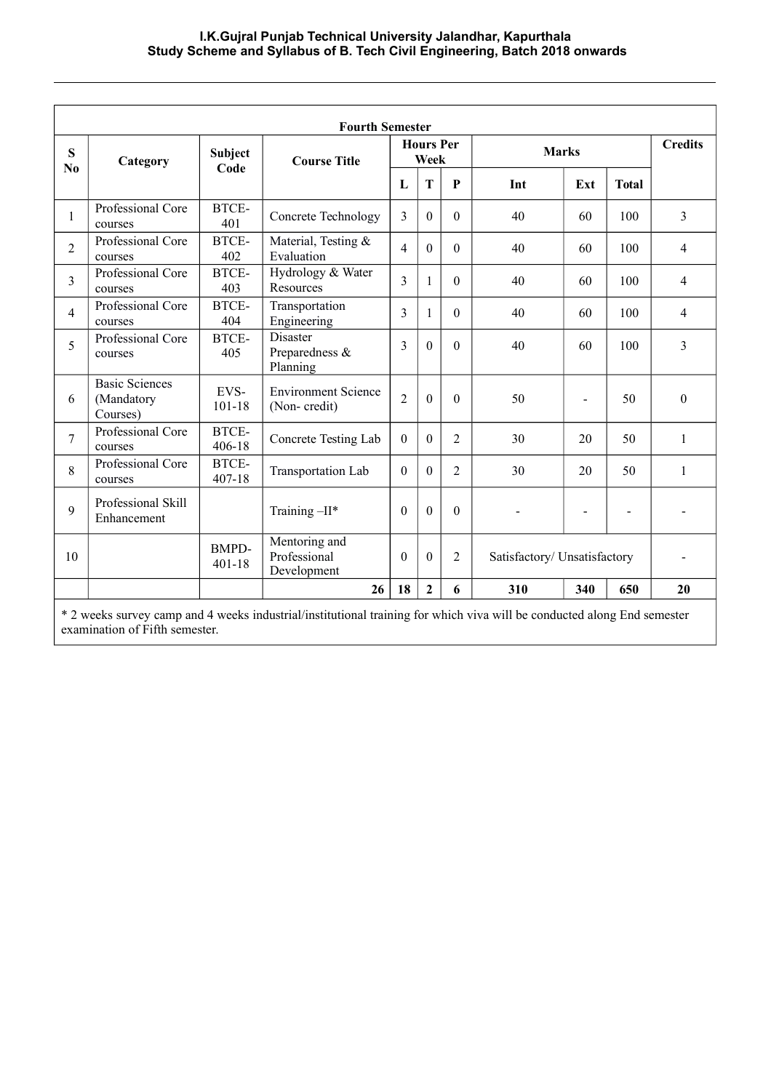|                     |                                                 |                            | <b>Fourth Semester</b>                       |                          |                |                |                              |     |                          |                |
|---------------------|-------------------------------------------------|----------------------------|----------------------------------------------|--------------------------|----------------|----------------|------------------------------|-----|--------------------------|----------------|
| S<br>N <sub>0</sub> | Category                                        | Subject                    | <b>Course Title</b>                          | <b>Hours Per</b><br>Week |                |                | <b>Marks</b>                 |     |                          | <b>Credits</b> |
|                     |                                                 | Code                       |                                              | L                        | T              | P              | Int                          | Ext | <b>Total</b>             |                |
| 1                   | Professional Core<br>courses                    | BTCE-<br>401               | Concrete Technology                          | 3                        | $\theta$       | $\Omega$       | 40                           | 60  | 100                      | 3              |
| $\overline{2}$      | Professional Core<br>courses                    | BTCE-<br>402               | Material, Testing &<br>Evaluation            | $\overline{4}$           | $\theta$       | $\theta$       | 40                           | 60  | 100                      | 4              |
| 3                   | Professional Core<br>courses                    | BTCE-<br>403               | Hydrology & Water<br>Resources               | 3                        | 1              | $\Omega$       | 40                           | 60  | 100                      | $\overline{4}$ |
| 4                   | Professional Core<br>courses                    | BTCE-<br>404               | Transportation<br>Engineering                | 3                        | $\mathbf{1}$   | $\Omega$       | 40                           | 60  | 100                      | $\overline{4}$ |
| 5                   | Professional Core<br>courses                    | BTCE-<br>405               | Disaster<br>Preparedness &<br>Planning       | $\overline{3}$           | $\theta$       | $\theta$       | 40                           | 60  | 100                      | 3              |
| 6                   | <b>Basic Sciences</b><br>(Mandatory<br>Courses) | EVS-<br>101-18             | <b>Environment Science</b><br>(Non-credit)   | $\overline{2}$           | $\Omega$       | $\Omega$       | 50                           |     | 50                       | $\theta$       |
| $\overline{7}$      | Professional Core<br>courses                    | BTCE-<br>$406 - 18$        | Concrete Testing Lab                         | $\theta$                 | $\theta$       | $\overline{2}$ | 30                           | 20  | 50                       | $\mathbf{1}$   |
| 8                   | Professional Core<br>courses                    | BTCE-<br>$407 - 18$        | Transportation Lab                           | $\theta$                 | $\mathbf{0}$   | $\overline{2}$ | 30                           | 20  | 50                       | 1              |
| 9                   | Professional Skill<br>Enhancement               |                            | Training $-II^*$                             | $\Omega$                 | $\theta$       | $\Omega$       |                              |     | $\overline{\phantom{a}}$ |                |
| 10                  |                                                 | <b>BMPD-</b><br>$401 - 18$ | Mentoring and<br>Professional<br>Development | $\Omega$                 | $\theta$       | $\overline{2}$ | Satisfactory/ Unsatisfactory |     |                          |                |
|                     |                                                 |                            | 26                                           | 18                       | $\overline{2}$ | 6              | 310                          | 340 | 650                      | 20             |

\* 2 weeks survey camp and 4 weeks industrial/institutional training for which viva will be conducted along End semester examination of Fifth semester.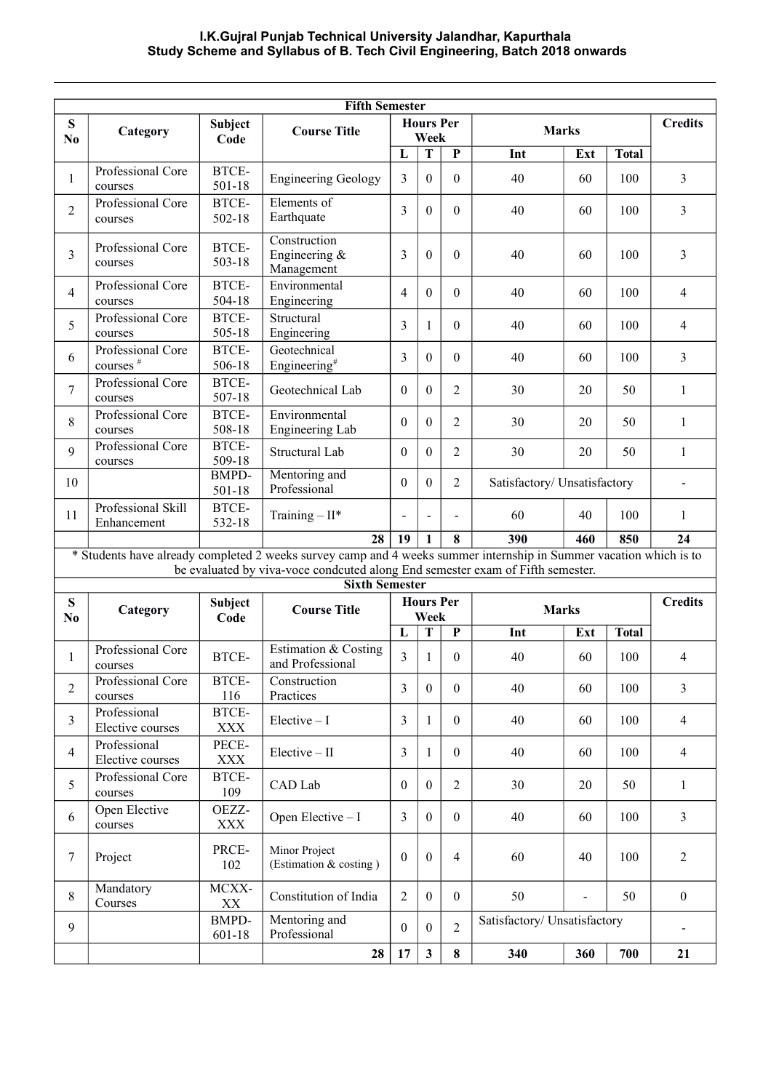## **I.K.Gujral Punjab Technical University Jalandhar, Kapurthala Study Scheme and Syllabus of B. Tech Civil Engineering, Batch 2018 onwards**

| <b>Fifth Semester</b>       |                                           |                            |                                                                                                                                                                                                      |                |                          |                |                              |                          |              |                |  |
|-----------------------------|-------------------------------------------|----------------------------|------------------------------------------------------------------------------------------------------------------------------------------------------------------------------------------------------|----------------|--------------------------|----------------|------------------------------|--------------------------|--------------|----------------|--|
| S<br>No                     | Category                                  | Subject<br>Code            | <b>Course Title</b>                                                                                                                                                                                  |                | <b>Hours Per</b><br>Week |                | <b>Marks</b>                 |                          |              | <b>Credits</b> |  |
|                             |                                           |                            |                                                                                                                                                                                                      | L              | T                        | $\mathbf{P}$   | Int                          | Ext                      | <b>Total</b> |                |  |
| $\mathbf{1}$                | Professional Core<br>courses              | BTCE-<br>501-18            | <b>Engineering Geology</b>                                                                                                                                                                           | 3              | $\theta$                 | $\theta$       | 40                           | 60                       | 100          | $\overline{3}$ |  |
| $\overline{2}$              | Professional Core<br>courses              | BTCE-<br>502-18            | Elements of<br>Earthquate                                                                                                                                                                            | 3              | $\theta$                 | $\theta$       | 40                           | 60                       | 100          | 3              |  |
| 3                           | Professional Core<br>courses              | BTCE-<br>503-18            | Construction<br>Engineering &<br>Management                                                                                                                                                          | 3              | $\theta$                 | $\theta$       | 40                           | 60                       | 100          | 3              |  |
| $\overline{4}$              | Professional Core<br>courses              | BTCE-<br>504-18            | Environmental<br>Engineering                                                                                                                                                                         | $\overline{4}$ | $\boldsymbol{0}$         | $\mathbf{0}$   | 40                           | 60                       | 100          | 4              |  |
| 5                           | Professional Core<br>courses              | BTCE-<br>505-18            | Structural<br>Engineering                                                                                                                                                                            | 3              | $\mathbf{1}$             | $\theta$       | 40                           | 60                       | 100          | 4              |  |
| 6                           | Professional Core<br>courses <sup>#</sup> | BTCE-<br>506-18            | Geotechnical<br>Engineering <sup>#</sup>                                                                                                                                                             | 3              | $\boldsymbol{0}$         | $\theta$       | 40                           | 60                       | 100          | 3              |  |
| $\tau$                      | Professional Core<br>courses              | BTCE-<br>507-18            | Geotechnical Lab                                                                                                                                                                                     | $\theta$       | $\boldsymbol{0}$         | $\overline{2}$ | 30                           | 20                       | 50           | $\mathbf{1}$   |  |
| 8                           | Professional Core<br>courses              | BTCE-<br>508-18            | Environmental<br>Engineering Lab                                                                                                                                                                     | $\theta$       | $\boldsymbol{0}$         | $\overline{2}$ | 30                           | 20                       | 50           | 1              |  |
| 9                           | <b>Professional Core</b><br>courses       | BTCE-<br>509-18            | Structural Lab                                                                                                                                                                                       | $\theta$       | $\boldsymbol{0}$         | 2              | 30                           | 20                       | 50           | 1              |  |
| 10                          |                                           | <b>BMPD-</b><br>$501 - 18$ | Mentoring and<br>Professional                                                                                                                                                                        | $\theta$       | $\theta$                 | 2              | Satisfactory/ Unsatisfactory |                          |              | $\blacksquare$ |  |
| 11                          | Professional Skill<br>Enhancement         | BTCE-<br>532-18            | Training $-II^*$                                                                                                                                                                                     | L,             | $\blacksquare$           | $\blacksquare$ | 60                           | 40                       | 100          | $\mathbf{1}$   |  |
|                             |                                           |                            | 28                                                                                                                                                                                                   | 19             | $\mathbf{1}$             | 8              | 390                          | 460                      | 850          | 24             |  |
|                             |                                           |                            | * Students have already completed 2 weeks survey camp and 4 weeks summer internship in Summer vacation which is to<br>be evaluated by viva-voce condcuted along End semester exam of Fifth semester. |                |                          |                |                              |                          |              |                |  |
|                             |                                           |                            | <b>Sixth Semester</b>                                                                                                                                                                                |                |                          |                |                              |                          |              |                |  |
| ${\bf S}$<br>N <sub>0</sub> | Category                                  | Subject<br>Code            | <b>Course Title</b>                                                                                                                                                                                  |                | <b>Hours</b> Per<br>Week |                | <b>Marks</b>                 |                          |              | <b>Credits</b> |  |
|                             |                                           |                            |                                                                                                                                                                                                      | L              | $\overline{\mathbf{T}}$  | P              | Int                          | Ext                      | <b>Total</b> |                |  |
| 1                           | Professional Core<br>courses              | BTCE-                      | Estimation & Costing<br>and Professional                                                                                                                                                             | 3              | $\mathbf{1}$             | $\theta$       | 40                           | 60                       | 100          | 4              |  |
| $\overline{2}$              | Professional Core<br>courses              | BTCE-<br>116               | Construction<br>Practices                                                                                                                                                                            | 3              | $\mathbf{0}$             | $\overline{0}$ | 40                           | 60                       | 100          | 3              |  |
| $\overline{3}$              | Professional<br>Elective courses          | BTCE-<br><b>XXX</b>        | $Electric - I$                                                                                                                                                                                       | $\overline{3}$ | $\mathbf{1}$             | $\theta$       | 40                           | 60                       | 100          | $\overline{4}$ |  |
| $\overline{4}$              | Professional<br>Elective courses          | PECE-<br><b>XXX</b>        | $Electric - II$                                                                                                                                                                                      | $\overline{3}$ | $\mathbf{1}$             | $\overline{0}$ | 40                           | 60                       | 100          | $\overline{4}$ |  |
| 5                           | Professional Core<br>courses              | BTCE-<br>109               | CAD Lab                                                                                                                                                                                              | $\mathbf{0}$   | $\overline{0}$           | $\overline{2}$ | 30                           | 20                       | 50           | $\mathbf{1}$   |  |
| 6                           | Open Elective<br>courses                  | OEZZ-<br>XXX               | Open Elective - I                                                                                                                                                                                    | $\overline{3}$ | $\overline{0}$           | $\theta$       | 40                           | 60                       | 100          | $\overline{3}$ |  |
| $\tau$                      | Project                                   | PRCE-<br>102               | Minor Project<br>(Estimation & costing)                                                                                                                                                              | $\mathbf{0}$   | $\mathbf{0}$             | $\overline{4}$ | 60                           | 40                       | 100          | $\overline{2}$ |  |
| 8                           | Mandatory<br>Courses                      | MCXX-<br>XX                | Constitution of India                                                                                                                                                                                | $\overline{2}$ | $\overline{0}$           | $\Omega$       | 50                           | $\overline{\phantom{0}}$ | 50           | $\overline{0}$ |  |
| 9                           |                                           | <b>BMPD-</b><br>601-18     | Mentoring and<br>Professional                                                                                                                                                                        | $\mathbf{0}$   | $\theta$                 | $\overline{2}$ | Satisfactory/ Unsatisfactory |                          |              | $\blacksquare$ |  |
|                             |                                           |                            | 28                                                                                                                                                                                                   | 17             | $\mathbf{3}$             | 8              | 340                          | 360                      | 700          | 21             |  |